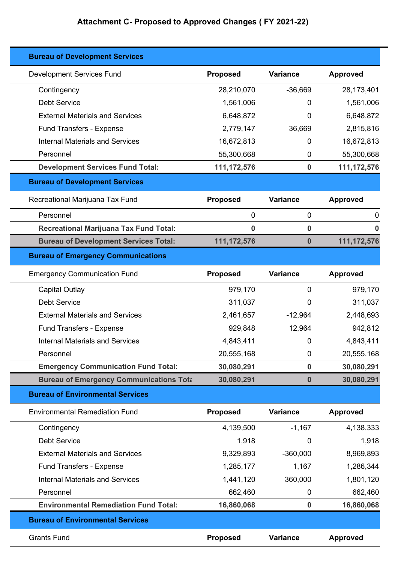| <b>Bureau of Development Services</b>          |                  |                  |                  |
|------------------------------------------------|------------------|------------------|------------------|
| <b>Development Services Fund</b>               | <b>Proposed</b>  | <b>Variance</b>  | <b>Approved</b>  |
| Contingency                                    | 28,210,070       | $-36,669$        | 28,173,401       |
| <b>Debt Service</b>                            | 1,561,006        | 0                | 1,561,006        |
| <b>External Materials and Services</b>         | 6,648,872        | 0                | 6,648,872        |
| Fund Transfers - Expense                       | 2,779,147        | 36,669           | 2,815,816        |
| <b>Internal Materials and Services</b>         | 16,672,813       | 0                | 16,672,813       |
| Personnel                                      | 55,300,668       | 0                | 55,300,668       |
| <b>Development Services Fund Total:</b>        | 111, 172, 576    | $\boldsymbol{0}$ | 111, 172, 576    |
| <b>Bureau of Development Services</b>          |                  |                  |                  |
| Recreational Marijuana Tax Fund                | <b>Proposed</b>  | <b>Variance</b>  | <b>Approved</b>  |
| Personnel                                      | $\boldsymbol{0}$ | 0                | $\boldsymbol{0}$ |
| <b>Recreational Marijuana Tax Fund Total:</b>  | 0                | $\pmb{0}$        | 0                |
| <b>Bureau of Development Services Total:</b>   | 111, 172, 576    | $\bf{0}$         | 111, 172, 576    |
| <b>Bureau of Emergency Communications</b>      |                  |                  |                  |
| <b>Emergency Communication Fund</b>            | <b>Proposed</b>  | <b>Variance</b>  | <b>Approved</b>  |
| Capital Outlay                                 | 979,170          | 0                | 979,170          |
| <b>Debt Service</b>                            | 311,037          | 0                | 311,037          |
| <b>External Materials and Services</b>         | 2,461,657        | $-12,964$        | 2,448,693        |
| Fund Transfers - Expense                       | 929,848          | 12,964           | 942,812          |
| <b>Internal Materials and Services</b>         | 4,843,411        | 0                | 4,843,411        |
| Personnel                                      | 20,555,168       | 0                | 20,555,168       |
| <b>Emergency Communication Fund Total:</b>     | 30,080,291       | $\bf{0}$         | 30,080,291       |
| <b>Bureau of Emergency Communications Tota</b> | 30,080,291       | $\boldsymbol{0}$ | 30,080,291       |
| <b>Bureau of Environmental Services</b>        |                  |                  |                  |
| <b>Environmental Remediation Fund</b>          | <b>Proposed</b>  | <b>Variance</b>  | <b>Approved</b>  |
| Contingency                                    | 4,139,500        | $-1,167$         | 4,138,333        |
| <b>Debt Service</b>                            | 1,918            | 0                | 1,918            |
| <b>External Materials and Services</b>         | 9,329,893        | $-360,000$       | 8,969,893        |
| Fund Transfers - Expense                       | 1,285,177        | 1,167            | 1,286,344        |
| <b>Internal Materials and Services</b>         | 1,441,120        | 360,000          | 1,801,120        |
| Personnel                                      | 662,460          | 0                | 662,460          |
| <b>Environmental Remediation Fund Total:</b>   | 16,860,068       | $\bf{0}$         | 16,860,068       |
| <b>Bureau of Environmental Services</b>        |                  |                  |                  |
| <b>Grants Fund</b>                             | <b>Proposed</b>  | <b>Variance</b>  | <b>Approved</b>  |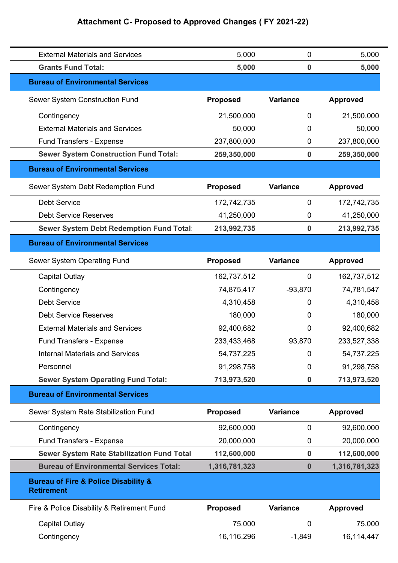| <b>External Materials and Services</b>                                   | 5,000           | 0                | 5,000           |
|--------------------------------------------------------------------------|-----------------|------------------|-----------------|
| <b>Grants Fund Total:</b>                                                | 5,000           | 0                | 5,000           |
| <b>Bureau of Environmental Services</b>                                  |                 |                  |                 |
| Sewer System Construction Fund                                           | Proposed        | <b>Variance</b>  | <b>Approved</b> |
| Contingency                                                              | 21,500,000      | $\mathbf 0$      | 21,500,000      |
| <b>External Materials and Services</b>                                   | 50,000          | 0                | 50,000          |
| Fund Transfers - Expense                                                 | 237,800,000     | 0                | 237,800,000     |
| <b>Sewer System Construction Fund Total:</b>                             | 259,350,000     | 0                | 259,350,000     |
| <b>Bureau of Environmental Services</b>                                  |                 |                  |                 |
| Sewer System Debt Redemption Fund                                        | <b>Proposed</b> | <b>Variance</b>  | <b>Approved</b> |
| <b>Debt Service</b>                                                      | 172,742,735     | 0                | 172,742,735     |
| <b>Debt Service Reserves</b>                                             | 41,250,000      | 0                | 41,250,000      |
| <b>Sewer System Debt Redemption Fund Total</b>                           | 213,992,735     | $\bf{0}$         | 213,992,735     |
| <b>Bureau of Environmental Services</b>                                  |                 |                  |                 |
| Sewer System Operating Fund                                              | <b>Proposed</b> | <b>Variance</b>  | <b>Approved</b> |
| Capital Outlay                                                           | 162,737,512     | $\mathbf 0$      | 162,737,512     |
| Contingency                                                              | 74,875,417      | $-93,870$        | 74,781,547      |
| <b>Debt Service</b>                                                      | 4,310,458       | 0                | 4,310,458       |
| <b>Debt Service Reserves</b>                                             | 180,000         | 0                | 180,000         |
| <b>External Materials and Services</b>                                   | 92,400,682      | 0                | 92,400,682      |
| <b>Fund Transfers - Expense</b>                                          | 233,433,468     | 93,870           | 233,527,338     |
| <b>Internal Materials and Services</b>                                   | 54,737,225      | 0                | 54,737,225      |
| Personnel                                                                | 91,298,758      | 0                | 91,298,758      |
| <b>Sewer System Operating Fund Total:</b>                                | 713,973,520     | $\bf{0}$         | 713,973,520     |
| <b>Bureau of Environmental Services</b>                                  |                 |                  |                 |
| Sewer System Rate Stabilization Fund                                     | <b>Proposed</b> | Variance         | <b>Approved</b> |
| Contingency                                                              | 92,600,000      | $\mathbf 0$      | 92,600,000      |
| <b>Fund Transfers - Expense</b>                                          | 20,000,000      | 0                | 20,000,000      |
| <b>Sewer System Rate Stabilization Fund Total</b>                        | 112,600,000     | $\bf{0}$         | 112,600,000     |
| <b>Bureau of Environmental Services Total:</b>                           | 1,316,781,323   | $\boldsymbol{0}$ | 1,316,781,323   |
| <b>Bureau of Fire &amp; Police Disability &amp;</b><br><b>Retirement</b> |                 |                  |                 |
| Fire & Police Disability & Retirement Fund                               | <b>Proposed</b> | Variance         | <b>Approved</b> |
| <b>Capital Outlay</b>                                                    | 75,000          |                  |                 |
|                                                                          |                 | $\mathbf 0$      | 75,000          |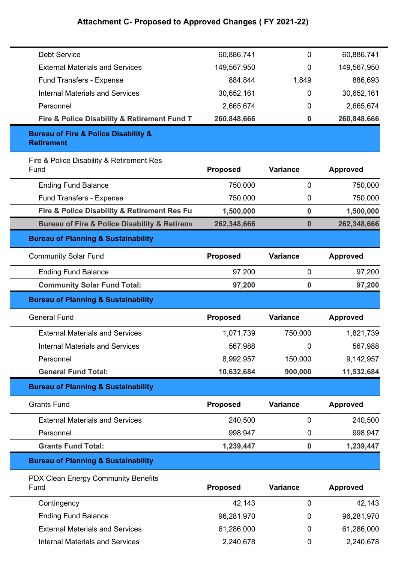| <b>Debt Service</b>                                                      | 60,886,741      | 0               | 60,886,741      |
|--------------------------------------------------------------------------|-----------------|-----------------|-----------------|
| <b>External Materials and Services</b>                                   | 149,567,950     | 0               | 149,567,950     |
| Fund Transfers - Expense                                                 | 884,844         | 1,849           | 886,693         |
| <b>Internal Materials and Services</b>                                   | 30,652,161      | 0               | 30,652,161      |
| Personnel                                                                | 2,665,674       | 0               | 2,665,674       |
| Fire & Police Disability & Retirement Fund T                             | 260,848,666     | $\mathbf 0$     | 260,848,666     |
| <b>Bureau of Fire &amp; Police Disability &amp;</b><br><b>Retirement</b> |                 |                 |                 |
| Fire & Police Disability & Retirement Res<br>Fund                        | <b>Proposed</b> | <b>Variance</b> | <b>Approved</b> |
| <b>Ending Fund Balance</b>                                               | 750,000         | $\mathbf 0$     | 750,000         |
| <b>Fund Transfers - Expense</b>                                          | 750,000         | 0               | 750,000         |
| Fire & Police Disability & Retirement Res Fu                             | 1,500,000       | $\mathbf 0$     | 1,500,000       |
| Bureau of Fire & Police Disability & Retirem                             | 262,348,666     | 0               | 262,348,666     |
| <b>Bureau of Planning &amp; Sustainability</b>                           |                 |                 |                 |
| <b>Community Solar Fund</b>                                              | <b>Proposed</b> | <b>Variance</b> | <b>Approved</b> |
| <b>Ending Fund Balance</b>                                               | 97,200          | 0               | 97,200          |
| <b>Community Solar Fund Total:</b>                                       | 97,200          | 0               | 97,200          |
| <b>Bureau of Planning &amp; Sustainability</b>                           |                 |                 |                 |
| <b>General Fund</b>                                                      | <b>Proposed</b> | <b>Variance</b> | <b>Approved</b> |
| <b>External Materials and Services</b>                                   | 1,071,739       | 750,000         | 1,821,739       |
| <b>Internal Materials and Services</b>                                   | 567,988         | $\mathbf 0$     | 567,988         |
| Personnel                                                                | 8,992,957       | 150,000         | 9,142,957       |
| <b>General Fund Total:</b>                                               | 10,632,684      | 900,000         | 11,532,684      |
| <b>Bureau of Planning &amp; Sustainability</b>                           |                 |                 |                 |
| <b>Grants Fund</b>                                                       | <b>Proposed</b> | <b>Variance</b> | <b>Approved</b> |
| <b>External Materials and Services</b>                                   | 240,500         | 0               | 240,500         |
| Personnel                                                                | 998,947         | 0               | 998,947         |
| <b>Grants Fund Total:</b>                                                | 1,239,447       | 0               | 1,239,447       |
| <b>Bureau of Planning &amp; Sustainability</b>                           |                 |                 |                 |
|                                                                          |                 |                 |                 |
| PDX Clean Energy Community Benefits<br>Fund                              | <b>Proposed</b> | <b>Variance</b> | <b>Approved</b> |
| Contingency                                                              | 42,143          | 0               | 42,143          |
| <b>Ending Fund Balance</b>                                               | 96,281,970      | 0               | 96,281,970      |
| <b>External Materials and Services</b>                                   | 61,286,000      | 0               | 61,286,000      |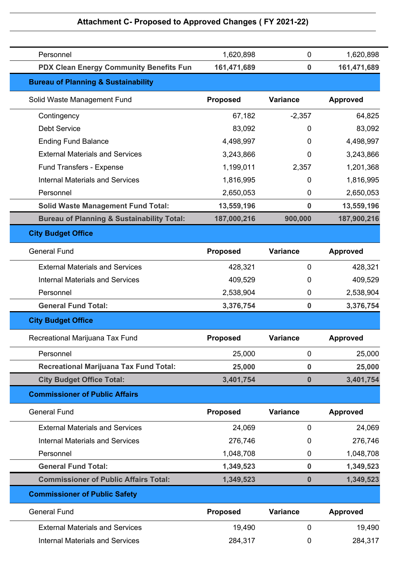| Personnel                                             | 1,620,898       | $\mathbf 0$      | 1,620,898       |
|-------------------------------------------------------|-----------------|------------------|-----------------|
| <b>PDX Clean Energy Community Benefits Fun</b>        | 161,471,689     | $\bf{0}$         | 161,471,689     |
| <b>Bureau of Planning &amp; Sustainability</b>        |                 |                  |                 |
| Solid Waste Management Fund                           | <b>Proposed</b> | <b>Variance</b>  | <b>Approved</b> |
| Contingency                                           | 67,182          | $-2,357$         | 64,825          |
| <b>Debt Service</b>                                   | 83,092          | 0                | 83,092          |
| <b>Ending Fund Balance</b>                            | 4,498,997       | 0                | 4,498,997       |
| <b>External Materials and Services</b>                | 3,243,866       | 0                | 3,243,866       |
| Fund Transfers - Expense                              | 1,199,011       | 2,357            | 1,201,368       |
| <b>Internal Materials and Services</b>                | 1,816,995       | 0                | 1,816,995       |
| Personnel                                             | 2,650,053       | $\mathbf 0$      | 2,650,053       |
| <b>Solid Waste Management Fund Total:</b>             | 13,559,196      | $\bf{0}$         | 13,559,196      |
| <b>Bureau of Planning &amp; Sustainability Total:</b> | 187,000,216     | 900,000          | 187,900,216     |
| <b>City Budget Office</b>                             |                 |                  |                 |
| <b>General Fund</b>                                   | <b>Proposed</b> | <b>Variance</b>  | <b>Approved</b> |
| <b>External Materials and Services</b>                | 428,321         | $\mathbf 0$      | 428,321         |
| <b>Internal Materials and Services</b>                | 409,529         | $\mathbf 0$      | 409,529         |
| Personnel                                             | 2,538,904       | 0                | 2,538,904       |
| <b>General Fund Total:</b>                            | 3,376,754       | $\mathbf 0$      | 3,376,754       |
| <b>City Budget Office</b>                             |                 |                  |                 |
| Recreational Marijuana Tax Fund                       | <b>Proposed</b> | <b>Variance</b>  | <b>Approved</b> |
| Personnel                                             | 25,000          | 0                | 25,000          |
| <b>Recreational Marijuana Tax Fund Total:</b>         | 25,000          | $\bf{0}$         | 25,000          |
| <b>City Budget Office Total:</b>                      | 3,401,754       | $\bf{0}$         | 3,401,754       |
| <b>Commissioner of Public Affairs</b>                 |                 |                  |                 |
| <b>General Fund</b>                                   | <b>Proposed</b> | <b>Variance</b>  | <b>Approved</b> |
| <b>External Materials and Services</b>                | 24,069          | $\mathbf 0$      | 24,069          |
| <b>Internal Materials and Services</b>                | 276,746         | 0                | 276,746         |
| Personnel                                             | 1,048,708       | $\mathbf 0$      | 1,048,708       |
| <b>General Fund Total:</b>                            | 1,349,523       | $\mathbf 0$      | 1,349,523       |
| <b>Commissioner of Public Affairs Total:</b>          | 1,349,523       | $\boldsymbol{0}$ | 1,349,523       |
| <b>Commissioner of Public Safety</b>                  |                 |                  |                 |
| <b>General Fund</b>                                   | <b>Proposed</b> | <b>Variance</b>  | <b>Approved</b> |
| <b>External Materials and Services</b>                | 19,490          | $\mathbf 0$      | 19,490          |
| <b>Internal Materials and Services</b>                | 284,317         | $\mathbf 0$      | 284,317         |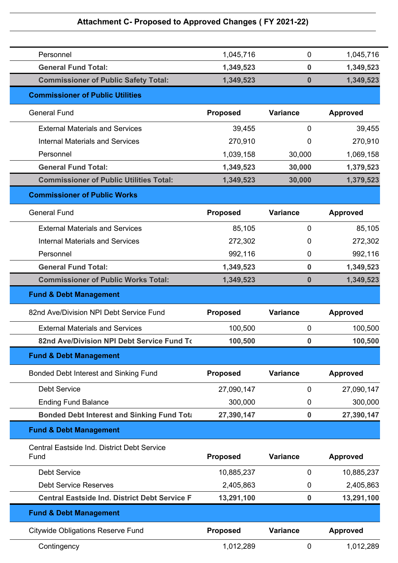| Personnel                                            | 1,045,716       | $\mathbf 0$      | 1,045,716       |
|------------------------------------------------------|-----------------|------------------|-----------------|
| <b>General Fund Total:</b>                           | 1,349,523       | $\bf{0}$         | 1,349,523       |
| <b>Commissioner of Public Safety Total:</b>          | 1,349,523       | $\bf{0}$         | 1,349,523       |
| <b>Commissioner of Public Utilities</b>              |                 |                  |                 |
| <b>General Fund</b>                                  | <b>Proposed</b> | Variance         | <b>Approved</b> |
| <b>External Materials and Services</b>               | 39,455          | 0                | 39,455          |
| <b>Internal Materials and Services</b>               | 270,910         | 0                | 270,910         |
| Personnel                                            | 1,039,158       | 30,000           | 1,069,158       |
| <b>General Fund Total:</b>                           | 1,349,523       | 30,000           | 1,379,523       |
| <b>Commissioner of Public Utilities Total:</b>       | 1,349,523       | 30,000           | 1,379,523       |
| <b>Commissioner of Public Works</b>                  |                 |                  |                 |
| <b>General Fund</b>                                  | <b>Proposed</b> | <b>Variance</b>  | <b>Approved</b> |
| <b>External Materials and Services</b>               | 85,105          | $\mathbf 0$      | 85,105          |
| <b>Internal Materials and Services</b>               | 272,302         | 0                | 272,302         |
| Personnel                                            | 992,116         | $\mathbf 0$      | 992,116         |
| <b>General Fund Total:</b>                           | 1,349,523       | $\bf{0}$         | 1,349,523       |
| <b>Commissioner of Public Works Total:</b>           | 1,349,523       | $\bf{0}$         | 1,349,523       |
| <b>Fund &amp; Debt Management</b>                    |                 |                  |                 |
| 82nd Ave/Division NPI Debt Service Fund              | Proposed        | <b>Variance</b>  | <b>Approved</b> |
| <b>External Materials and Services</b>               | 100,500         | $\mathbf 0$      | 100,500         |
| 82nd Ave/Division NPI Debt Service Fund To           | 100,500         | $\bf{0}$         | 100,500         |
| <b>Fund &amp; Debt Management</b>                    |                 |                  |                 |
| Bonded Debt Interest and Sinking Fund                | <b>Proposed</b> | <b>Variance</b>  | <b>Approved</b> |
| <b>Debt Service</b>                                  | 27,090,147      | $\mathbf 0$      | 27,090,147      |
| <b>Ending Fund Balance</b>                           | 300,000         | $\mathbf 0$      | 300,000         |
| <b>Bonded Debt Interest and Sinking Fund Tota</b>    | 27,390,147      | $\boldsymbol{0}$ | 27,390,147      |
| <b>Fund &amp; Debt Management</b>                    |                 |                  |                 |
|                                                      |                 |                  |                 |
|                                                      |                 |                  |                 |
| Central Eastside Ind. District Debt Service<br>Fund  | <b>Proposed</b> | <b>Variance</b>  | <b>Approved</b> |
| <b>Debt Service</b>                                  | 10,885,237      | $\mathbf 0$      | 10,885,237      |
| <b>Debt Service Reserves</b>                         | 2,405,863       | $\mathbf 0$      | 2,405,863       |
| <b>Central Eastside Ind. District Debt Service F</b> | 13,291,100      | $\boldsymbol{0}$ | 13,291,100      |
| <b>Fund &amp; Debt Management</b>                    |                 |                  |                 |
| <b>Citywide Obligations Reserve Fund</b>             | <b>Proposed</b> | <b>Variance</b>  | <b>Approved</b> |
| Contingency                                          | 1,012,289       | 0                | 1,012,289       |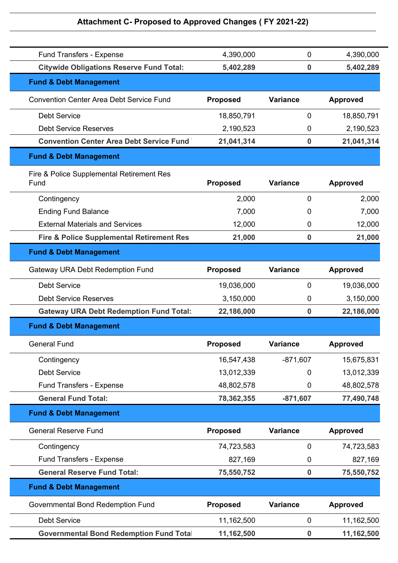| Fund Transfers - Expense                             | 4,390,000       | 0                | 4,390,000       |
|------------------------------------------------------|-----------------|------------------|-----------------|
| <b>Citywide Obligations Reserve Fund Total:</b>      | 5,402,289       | $\boldsymbol{0}$ | 5,402,289       |
| <b>Fund &amp; Debt Management</b>                    |                 |                  |                 |
| <b>Convention Center Area Debt Service Fund</b>      | <b>Proposed</b> | <b>Variance</b>  | <b>Approved</b> |
| <b>Debt Service</b>                                  | 18,850,791      | 0                | 18,850,791      |
| <b>Debt Service Reserves</b>                         | 2,190,523       | 0                | 2,190,523       |
| <b>Convention Center Area Debt Service Fund</b>      | 21,041,314      | $\bf{0}$         | 21,041,314      |
| <b>Fund &amp; Debt Management</b>                    |                 |                  |                 |
| Fire & Police Supplemental Retirement Res<br>Fund    | <b>Proposed</b> | <b>Variance</b>  | <b>Approved</b> |
| Contingency                                          | 2,000           | 0                | 2,000           |
| <b>Ending Fund Balance</b>                           | 7,000           | 0                | 7,000           |
| <b>External Materials and Services</b>               | 12,000          | 0                | 12,000          |
| <b>Fire &amp; Police Supplemental Retirement Res</b> | 21,000          | 0                | 21,000          |
| <b>Fund &amp; Debt Management</b>                    |                 |                  |                 |
| Gateway URA Debt Redemption Fund                     | <b>Proposed</b> | <b>Variance</b>  | <b>Approved</b> |
| <b>Debt Service</b>                                  | 19,036,000      | 0                | 19,036,000      |
| <b>Debt Service Reserves</b>                         | 3,150,000       | 0                | 3,150,000       |
| <b>Gateway URA Debt Redemption Fund Total:</b>       | 22,186,000      | 0                | 22,186,000      |
| <b>Fund &amp; Debt Management</b>                    |                 |                  |                 |
| <b>General Fund</b>                                  | <b>Proposed</b> | <b>Variance</b>  | <b>Approved</b> |
| Contingency                                          | 16,547,438      | $-871,607$       | 15,675,831      |
| <b>Debt Service</b>                                  | 13,012,339      | 0                | 13,012,339      |
| Fund Transfers - Expense                             | 48,802,578      | 0                | 48,802,578      |
| <b>General Fund Total:</b>                           | 78,362,355      | $-871,607$       | 77,490,748      |
| <b>Fund &amp; Debt Management</b>                    |                 |                  |                 |
| <b>General Reserve Fund</b>                          | <b>Proposed</b> | <b>Variance</b>  | <b>Approved</b> |
| Contingency                                          | 74,723,583      | $\mathbf 0$      | 74,723,583      |
| Fund Transfers - Expense                             | 827,169         | 0                | 827,169         |
| <b>General Reserve Fund Total:</b>                   | 75,550,752      | $\boldsymbol{0}$ | 75,550,752      |
| <b>Fund &amp; Debt Management</b>                    |                 |                  |                 |
| Governmental Bond Redemption Fund                    | <b>Proposed</b> | <b>Variance</b>  | <b>Approved</b> |
| <b>Debt Service</b>                                  | 11,162,500      | $\pmb{0}$        | 11,162,500      |
| <b>Governmental Bond Redemption Fund Total</b>       | 11,162,500      | $\bf{0}$         | 11,162,500      |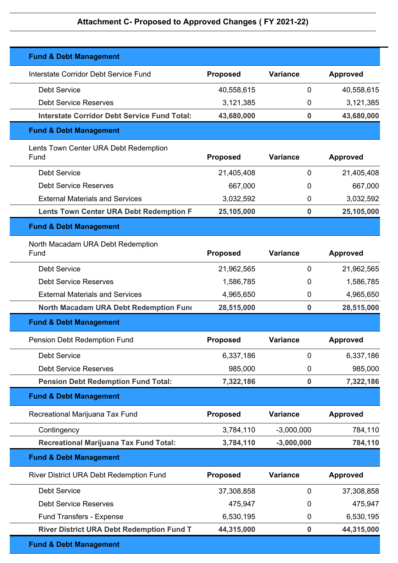| <b>Fund &amp; Debt Management</b>                   |                 |                  |                 |
|-----------------------------------------------------|-----------------|------------------|-----------------|
| Interstate Corridor Debt Service Fund               | <b>Proposed</b> | <b>Variance</b>  | <b>Approved</b> |
| <b>Debt Service</b>                                 | 40,558,615      | 0                | 40,558,615      |
| <b>Debt Service Reserves</b>                        | 3,121,385       | 0                | 3,121,385       |
| <b>Interstate Corridor Debt Service Fund Total:</b> | 43,680,000      | $\bf{0}$         | 43,680,000      |
| <b>Fund &amp; Debt Management</b>                   |                 |                  |                 |
| Lents Town Center URA Debt Redemption               |                 |                  |                 |
| Fund                                                | <b>Proposed</b> | <b>Variance</b>  | <b>Approved</b> |
| <b>Debt Service</b>                                 | 21,405,408      | 0                | 21,405,408      |
| <b>Debt Service Reserves</b>                        | 667,000         | 0                | 667,000         |
| <b>External Materials and Services</b>              | 3,032,592       | 0                | 3,032,592       |
| <b>Lents Town Center URA Debt Redemption F</b>      | 25,105,000      | 0                | 25,105,000      |
| <b>Fund &amp; Debt Management</b>                   |                 |                  |                 |
| North Macadam URA Debt Redemption                   |                 |                  |                 |
| Fund                                                | <b>Proposed</b> | <b>Variance</b>  | <b>Approved</b> |
| <b>Debt Service</b>                                 | 21,962,565      | 0                | 21,962,565      |
| <b>Debt Service Reserves</b>                        | 1,586,785       | 0                | 1,586,785       |
| <b>External Materials and Services</b>              | 4,965,650       | 0                | 4,965,650       |
| North Macadam URA Debt Redemption Fund              | 28,515,000      | 0                | 28,515,000      |
| <b>Fund &amp; Debt Management</b>                   |                 |                  |                 |
| Pension Debt Redemption Fund                        | <b>Proposed</b> | <b>Variance</b>  | <b>Approved</b> |
| <b>Debt Service</b>                                 | 6,337,186       | 0                | 6,337,186       |
| <b>Debt Service Reserves</b>                        | 985,000         | 0                | 985,000         |
| <b>Pension Debt Redemption Fund Total:</b>          | 7,322,186       | 0                | 7,322,186       |
| <b>Fund &amp; Debt Management</b>                   |                 |                  |                 |
| Recreational Marijuana Tax Fund                     | <b>Proposed</b> | <b>Variance</b>  | <b>Approved</b> |
| Contingency                                         | 3,784,110       | $-3,000,000$     | 784,110         |
| <b>Recreational Marijuana Tax Fund Total:</b>       | 3,784,110       | $-3,000,000$     | 784,110         |
| <b>Fund &amp; Debt Management</b>                   |                 |                  |                 |
| River District URA Debt Redemption Fund             | <b>Proposed</b> | <b>Variance</b>  | <b>Approved</b> |
| <b>Debt Service</b>                                 | 37,308,858      | 0                | 37,308,858      |
| <b>Debt Service Reserves</b>                        | 475,947         | 0                | 475,947         |
| Fund Transfers - Expense                            | 6,530,195       | 0                | 6,530,195       |
| <b>River District URA Debt Redemption Fund T</b>    | 44,315,000      | $\boldsymbol{0}$ | 44,315,000      |
| <b>Fund &amp; Debt Management</b>                   |                 |                  |                 |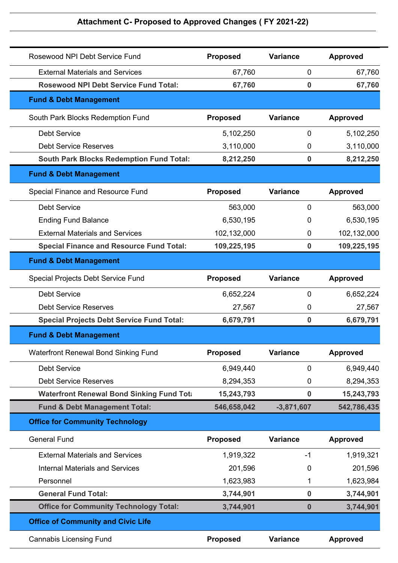| Rosewood NPI Debt Service Fund                    | <b>Proposed</b> | <b>Variance</b>  | <b>Approved</b> |
|---------------------------------------------------|-----------------|------------------|-----------------|
| <b>External Materials and Services</b>            | 67,760          | 0                | 67,760          |
| <b>Rosewood NPI Debt Service Fund Total:</b>      | 67,760          | 0                | 67,760          |
| <b>Fund &amp; Debt Management</b>                 |                 |                  |                 |
| South Park Blocks Redemption Fund                 | <b>Proposed</b> | <b>Variance</b>  | <b>Approved</b> |
| <b>Debt Service</b>                               | 5,102,250       | 0                | 5,102,250       |
| <b>Debt Service Reserves</b>                      | 3,110,000       | 0                | 3,110,000       |
| <b>South Park Blocks Redemption Fund Total:</b>   | 8,212,250       | 0                | 8,212,250       |
| <b>Fund &amp; Debt Management</b>                 |                 |                  |                 |
| Special Finance and Resource Fund                 | <b>Proposed</b> | <b>Variance</b>  | <b>Approved</b> |
| <b>Debt Service</b>                               | 563,000         | 0                | 563,000         |
| <b>Ending Fund Balance</b>                        | 6,530,195       | 0                | 6,530,195       |
| <b>External Materials and Services</b>            | 102,132,000     | 0                | 102,132,000     |
| <b>Special Finance and Resource Fund Total:</b>   | 109,225,195     | 0                | 109,225,195     |
| <b>Fund &amp; Debt Management</b>                 |                 |                  |                 |
| Special Projects Debt Service Fund                | <b>Proposed</b> | Variance         | <b>Approved</b> |
| <b>Debt Service</b>                               | 6,652,224       | 0                | 6,652,224       |
| <b>Debt Service Reserves</b>                      | 27,567          | 0                | 27,567          |
| <b>Special Projects Debt Service Fund Total:</b>  | 6,679,791       | 0                | 6,679,791       |
| <b>Fund &amp; Debt Management</b>                 |                 |                  |                 |
| Waterfront Renewal Bond Sinking Fund              | <b>Proposed</b> | Variance         | <b>Approved</b> |
| Debt Service                                      | 6,949,440       | $\mathbf 0$      | 6,949,440       |
| <b>Debt Service Reserves</b>                      | 8,294,353       | 0                | 8,294,353       |
| <b>Waterfront Renewal Bond Sinking Fund Total</b> | 15,243,793      | $\bf{0}$         | 15,243,793      |
| <b>Fund &amp; Debt Management Total:</b>          | 546,658,042     | $-3,871,607$     | 542,786,435     |
| <b>Office for Community Technology</b>            |                 |                  |                 |
| <b>General Fund</b>                               | <b>Proposed</b> | Variance         | <b>Approved</b> |
| <b>External Materials and Services</b>            | 1,919,322       | $-1$             | 1,919,321       |
| <b>Internal Materials and Services</b>            | 201,596         | 0                | 201,596         |
| Personnel                                         | 1,623,983       | 1                | 1,623,984       |
| <b>General Fund Total:</b>                        | 3,744,901       | $\bf{0}$         | 3,744,901       |
| <b>Office for Community Technology Total:</b>     | 3,744,901       | $\boldsymbol{0}$ | 3,744,901       |
| <b>Office of Community and Civic Life</b>         |                 |                  |                 |
| <b>Cannabis Licensing Fund</b>                    | <b>Proposed</b> | <b>Variance</b>  | <b>Approved</b> |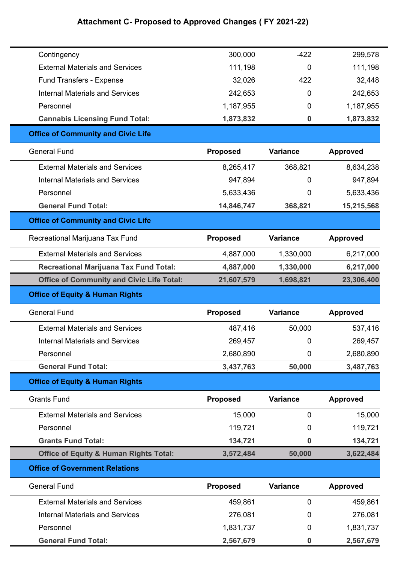| Contingency                                      | 300,000         | $-422$          | 299,578         |
|--------------------------------------------------|-----------------|-----------------|-----------------|
| <b>External Materials and Services</b>           | 111,198         | $\mathbf 0$     | 111,198         |
| Fund Transfers - Expense                         | 32,026          | 422             | 32,448          |
| <b>Internal Materials and Services</b>           | 242,653         | $\Omega$        | 242,653         |
| Personnel                                        | 1,187,955       | 0               | 1,187,955       |
| <b>Cannabis Licensing Fund Total:</b>            | 1,873,832       | $\mathbf 0$     | 1,873,832       |
| <b>Office of Community and Civic Life</b>        |                 |                 |                 |
| <b>General Fund</b>                              | <b>Proposed</b> | Variance        | <b>Approved</b> |
| <b>External Materials and Services</b>           | 8,265,417       | 368,821         | 8,634,238       |
| <b>Internal Materials and Services</b>           | 947,894         | 0               | 947,894         |
| Personnel                                        | 5,633,436       | 0               | 5,633,436       |
| <b>General Fund Total:</b>                       | 14,846,747      | 368,821         | 15,215,568      |
| <b>Office of Community and Civic Life</b>        |                 |                 |                 |
| Recreational Marijuana Tax Fund                  | <b>Proposed</b> | <b>Variance</b> | <b>Approved</b> |
| <b>External Materials and Services</b>           | 4,887,000       | 1,330,000       | 6,217,000       |
| <b>Recreational Marijuana Tax Fund Total:</b>    | 4,887,000       | 1,330,000       | 6,217,000       |
| <b>Office of Community and Civic Life Total:</b> | 21,607,579      | 1,698,821       | 23,306,400      |
| <b>Office of Equity &amp; Human Rights</b>       |                 |                 |                 |
| <b>General Fund</b>                              | <b>Proposed</b> | <b>Variance</b> | <b>Approved</b> |
|                                                  |                 |                 |                 |
| <b>External Materials and Services</b>           | 487,416         | 50,000          | 537,416         |
| <b>Internal Materials and Services</b>           | 269,457         | 0               | 269,457         |
| Personnel                                        | 2,680,890       | 0               | 2,680,890       |

### **Office of Equity & Human Rights**

| Grants Fund                                       | <b>Proposed</b> | Variance | <b>Approved</b> |
|---------------------------------------------------|-----------------|----------|-----------------|
| <b>External Materials and Services</b>            | 15,000          | 0        | 15,000          |
| Personnel                                         | 119,721         | 0        | 119,721         |
| <b>Grants Fund Total:</b>                         | 134,721         |          | 134,721         |
| <b>Office of Equity &amp; Human Rights Total:</b> | 3,572,484       | 50,000   | 3,622,484       |
|                                                   |                 |          |                 |

#### **Office of Government Relations**

| General Fund                           | <b>Proposed</b> | Variance | <b>Approved</b> |
|----------------------------------------|-----------------|----------|-----------------|
| <b>External Materials and Services</b> | 459,861         | 0        | 459,861         |
| Internal Materials and Services        | 276,081         | 0        | 276,081         |
| Personnel                              | 1,831,737       | 0        | 1,831,737       |
| <b>General Fund Total:</b>             | 2,567,679       |          | 2,567,679       |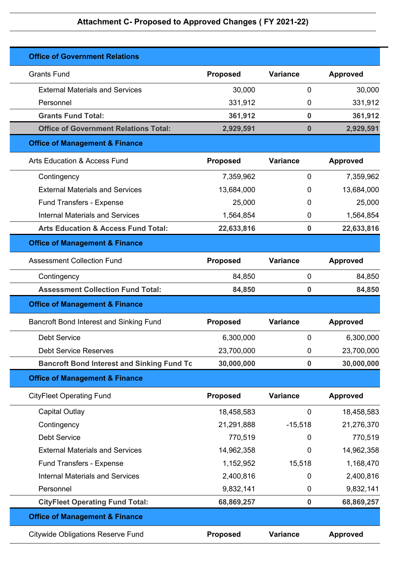| <b>Office of Government Relations</b>             |                 |                  |                 |
|---------------------------------------------------|-----------------|------------------|-----------------|
| <b>Grants Fund</b>                                | <b>Proposed</b> | <b>Variance</b>  | <b>Approved</b> |
| <b>External Materials and Services</b>            | 30,000          | 0                | 30,000          |
| Personnel                                         | 331,912         | 0                | 331,912         |
| <b>Grants Fund Total:</b>                         | 361,912         | $\bf{0}$         | 361,912         |
| <b>Office of Government Relations Total:</b>      | 2,929,591       | 0                | 2,929,591       |
| <b>Office of Management &amp; Finance</b>         |                 |                  |                 |
| <b>Arts Education &amp; Access Fund</b>           | <b>Proposed</b> | <b>Variance</b>  | <b>Approved</b> |
| Contingency                                       | 7,359,962       | $\mathbf 0$      | 7,359,962       |
| <b>External Materials and Services</b>            | 13,684,000      | 0                | 13,684,000      |
| <b>Fund Transfers - Expense</b>                   | 25,000          | $\Omega$         | 25,000          |
| <b>Internal Materials and Services</b>            | 1,564,854       | $\Omega$         | 1,564,854       |
| <b>Arts Education &amp; Access Fund Total:</b>    | 22,633,816      | $\pmb{0}$        | 22,633,816      |
| <b>Office of Management &amp; Finance</b>         |                 |                  |                 |
| <b>Assessment Collection Fund</b>                 | <b>Proposed</b> | Variance         | <b>Approved</b> |
| Contingency                                       | 84,850          | $\mathbf 0$      | 84,850          |
| <b>Assessment Collection Fund Total:</b>          | 84,850          | $\bf{0}$         | 84,850          |
| <b>Office of Management &amp; Finance</b>         |                 |                  |                 |
| Bancroft Bond Interest and Sinking Fund           | <b>Proposed</b> | <b>Variance</b>  | <b>Approved</b> |
| <b>Debt Service</b>                               | 6,300,000       | 0                | 6,300,000       |
| <b>Debt Service Reserves</b>                      | 23,700,000      | $\mathbf 0$      | 23,700,000      |
| <b>Bancroft Bond Interest and Sinking Fund To</b> | 30,000,000      | $\pmb{0}$        | 30,000,000      |
| <b>Office of Management &amp; Finance</b>         |                 |                  |                 |
| <b>CityFleet Operating Fund</b>                   | <b>Proposed</b> | <b>Variance</b>  | <b>Approved</b> |
| <b>Capital Outlay</b>                             | 18,458,583      | $\mathbf 0$      | 18,458,583      |
| Contingency                                       | 21,291,888      | $-15,518$        | 21,276,370      |
| <b>Debt Service</b>                               | 770,519         | 0                | 770,519         |
| <b>External Materials and Services</b>            | 14,962,358      | 0                | 14,962,358      |
| Fund Transfers - Expense                          | 1,152,952       | 15,518           | 1,168,470       |
| <b>Internal Materials and Services</b>            | 2,400,816       | 0                | 2,400,816       |
| Personnel                                         | 9,832,141       | $\mathbf 0$      | 9,832,141       |
| <b>CityFleet Operating Fund Total:</b>            | 68,869,257      | $\boldsymbol{0}$ | 68,869,257      |
| <b>Office of Management &amp; Finance</b>         |                 |                  |                 |
| <b>Citywide Obligations Reserve Fund</b>          | <b>Proposed</b> | Variance         | <b>Approved</b> |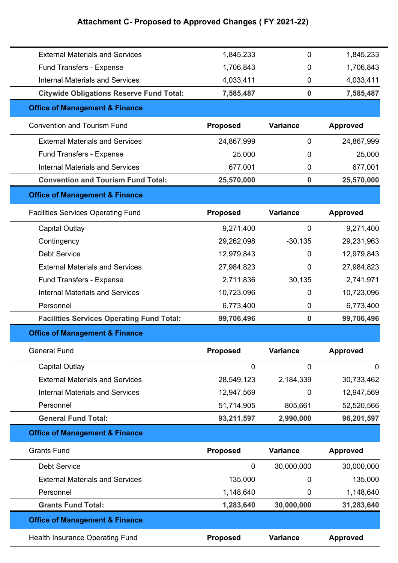| <b>External Materials and Services</b>           | 1,845,233       | $\mathbf 0$      | 1,845,233       |
|--------------------------------------------------|-----------------|------------------|-----------------|
| <b>Fund Transfers - Expense</b>                  | 1,706,843       | 0                | 1,706,843       |
| <b>Internal Materials and Services</b>           | 4,033,411       | 0                | 4,033,411       |
| <b>Citywide Obligations Reserve Fund Total:</b>  | 7,585,487       | $\boldsymbol{0}$ | 7,585,487       |
| <b>Office of Management &amp; Finance</b>        |                 |                  |                 |
| <b>Convention and Tourism Fund</b>               | <b>Proposed</b> | Variance         | <b>Approved</b> |
| <b>External Materials and Services</b>           | 24,867,999      | $\mathbf 0$      | 24,867,999      |
| <b>Fund Transfers - Expense</b>                  | 25,000          | 0                | 25,000          |
| <b>Internal Materials and Services</b>           | 677,001         | 0                | 677,001         |
| <b>Convention and Tourism Fund Total:</b>        | 25,570,000      | $\mathbf 0$      | 25,570,000      |
| <b>Office of Management &amp; Finance</b>        |                 |                  |                 |
| <b>Facilities Services Operating Fund</b>        | <b>Proposed</b> | <b>Variance</b>  | <b>Approved</b> |
| <b>Capital Outlay</b>                            | 9,271,400       | $\mathbf 0$      | 9,271,400       |
| Contingency                                      | 29,262,098      | $-30,135$        | 29,231,963      |
| <b>Debt Service</b>                              | 12,979,843      | 0                | 12,979,843      |
| <b>External Materials and Services</b>           | 27,984,823      | 0                | 27,984,823      |
| <b>Fund Transfers - Expense</b>                  | 2,711,836       | 30,135           | 2,741,971       |
| <b>Internal Materials and Services</b>           | 10,723,096      | 0                | 10,723,096      |
| Personnel                                        | 6,773,400       | $\mathbf 0$      | 6,773,400       |
| <b>Facilities Services Operating Fund Total:</b> | 99,706,496      | $\mathbf 0$      | 99,706,496      |
| <b>Office of Management &amp; Finance</b>        |                 |                  |                 |
| <b>General Fund</b>                              | <b>Proposed</b> | <b>Variance</b>  | <b>Approved</b> |
| <b>Capital Outlay</b>                            | $\mathbf 0$     | $\mathbf 0$      | $\mathbf 0$     |
| <b>External Materials and Services</b>           | 28,549,123      | 2,184,339        | 30,733,462      |
| <b>Internal Materials and Services</b>           | 12,947,569      | 0                | 12,947,569      |
| Personnel                                        | 51,714,905      | 805,661          | 52,520,566      |
| <b>General Fund Total:</b>                       | 93,211,597      | 2,990,000        | 96,201,597      |
| <b>Office of Management &amp; Finance</b>        |                 |                  |                 |
| <b>Grants Fund</b>                               | <b>Proposed</b> | <b>Variance</b>  | <b>Approved</b> |
| <b>Debt Service</b>                              | $\mathbf 0$     | 30,000,000       | 30,000,000      |
| <b>External Materials and Services</b>           | 135,000         | 0                | 135,000         |
| Personnel                                        | 1,148,640       | $\mathbf 0$      | 1,148,640       |
| <b>Grants Fund Total:</b>                        | 1,283,640       | 30,000,000       | 31,283,640      |
| <b>Office of Management &amp; Finance</b>        |                 |                  |                 |
| Health Insurance Operating Fund                  | <b>Proposed</b> | <b>Variance</b>  | <b>Approved</b> |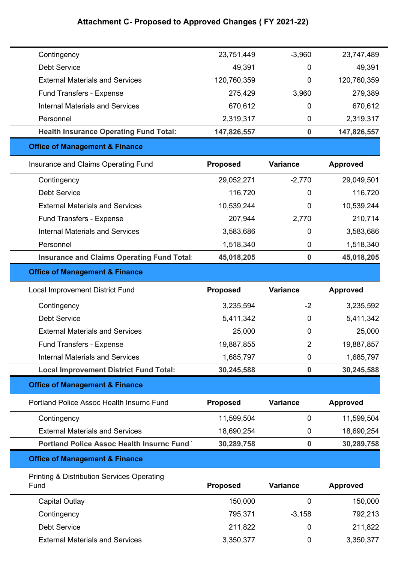| Contingency                                           | 23,751,449      | $-3,960$        | 23,747,489      |
|-------------------------------------------------------|-----------------|-----------------|-----------------|
| <b>Debt Service</b>                                   | 49,391          | 0               | 49,391          |
| <b>External Materials and Services</b>                | 120,760,359     | 0               | 120,760,359     |
| Fund Transfers - Expense                              | 275,429         | 3,960           | 279,389         |
| <b>Internal Materials and Services</b>                | 670,612         | 0               | 670,612         |
| Personnel                                             | 2,319,317       | 0               | 2,319,317       |
| <b>Health Insurance Operating Fund Total:</b>         | 147,826,557     | $\bf{0}$        | 147,826,557     |
| <b>Office of Management &amp; Finance</b>             |                 |                 |                 |
| Insurance and Claims Operating Fund                   | <b>Proposed</b> | <b>Variance</b> | <b>Approved</b> |
| Contingency                                           | 29,052,271      | $-2,770$        | 29,049,501      |
| <b>Debt Service</b>                                   | 116,720         | 0               | 116,720         |
| <b>External Materials and Services</b>                | 10,539,244      | $\Omega$        | 10,539,244      |
| Fund Transfers - Expense                              | 207,944         | 2,770           | 210,714         |
| <b>Internal Materials and Services</b>                | 3,583,686       | 0               | 3,583,686       |
| Personnel                                             | 1,518,340       | $\mathbf 0$     | 1,518,340       |
| <b>Insurance and Claims Operating Fund Total</b>      | 45,018,205      | $\bf{0}$        | 45,018,205      |
| <b>Office of Management &amp; Finance</b>             |                 |                 |                 |
| <b>Local Improvement District Fund</b>                | <b>Proposed</b> | <b>Variance</b> | <b>Approved</b> |
| Contingency                                           | 3,235,594       | $-2$            | 3,235,592       |
| <b>Debt Service</b>                                   | 5,411,342       | 0               | 5,411,342       |
| <b>External Materials and Services</b>                | 25,000          | 0               | 25,000          |
| Fund Transfers - Expense                              | 19,887,855      | $\overline{2}$  | 19,887,857      |
| <b>Internal Materials and Services</b>                | 1,685,797       | 0               | 1,685,797       |
| <b>Local Improvement District Fund Total:</b>         | 30,245,588      | $\bf{0}$        | 30,245,588      |
| <b>Office of Management &amp; Finance</b>             |                 |                 |                 |
| Portland Police Assoc Health Insurnc Fund             | <b>Proposed</b> | <b>Variance</b> | <b>Approved</b> |
| Contingency                                           | 11,599,504      | $\mathbf 0$     | 11,599,504      |
| <b>External Materials and Services</b>                | 18,690,254      | 0               | 18,690,254      |
| <b>Portland Police Assoc Health Insurnc Fund</b>      | 30,289,758      | $\bf{0}$        | 30,289,758      |
| <b>Office of Management &amp; Finance</b>             |                 |                 |                 |
| <b>Printing &amp; Distribution Services Operating</b> |                 |                 |                 |
| Fund                                                  | <b>Proposed</b> | <b>Variance</b> | <b>Approved</b> |
| <b>Capital Outlay</b>                                 | 150,000         | $\mathbf 0$     | 150,000         |
| Contingency                                           | 795,371         | $-3,158$        | 792,213         |
| <b>Debt Service</b>                                   | 211,822         | 0               | 211,822         |
| <b>External Materials and Services</b>                | 3,350,377       | 0               | 3,350,377       |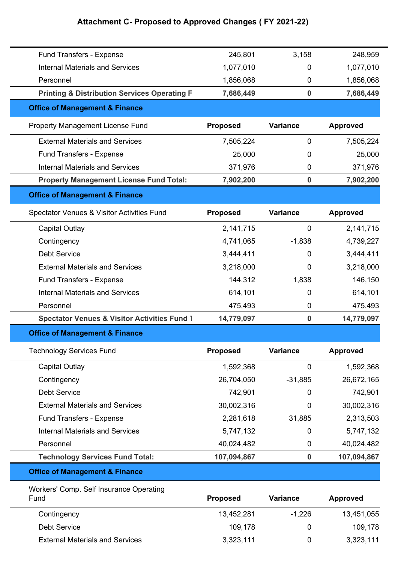| Fund Transfers - Expense                                | 245,801         | 3,158            | 248,959         |
|---------------------------------------------------------|-----------------|------------------|-----------------|
| <b>Internal Materials and Services</b>                  | 1,077,010       | 0                | 1,077,010       |
| Personnel                                               | 1,856,068       | 0                | 1,856,068       |
| <b>Printing &amp; Distribution Services Operating F</b> | 7,686,449       | $\boldsymbol{0}$ | 7,686,449       |
| <b>Office of Management &amp; Finance</b>               |                 |                  |                 |
| Property Management License Fund                        | <b>Proposed</b> | <b>Variance</b>  | <b>Approved</b> |
| <b>External Materials and Services</b>                  | 7,505,224       | 0                | 7,505,224       |
| Fund Transfers - Expense                                | 25,000          | 0                | 25,000          |
| <b>Internal Materials and Services</b>                  | 371,976         | 0                | 371,976         |
| <b>Property Management License Fund Total:</b>          | 7,902,200       | 0                | 7,902,200       |
| <b>Office of Management &amp; Finance</b>               |                 |                  |                 |
| Spectator Venues & Visitor Activities Fund              | <b>Proposed</b> | <b>Variance</b>  | <b>Approved</b> |
| <b>Capital Outlay</b>                                   | 2,141,715       | 0                | 2,141,715       |
| Contingency                                             | 4,741,065       | $-1,838$         | 4,739,227       |
| <b>Debt Service</b>                                     | 3,444,411       | 0                | 3,444,411       |
| <b>External Materials and Services</b>                  | 3,218,000       | 0                | 3,218,000       |
| Fund Transfers - Expense                                | 144,312         | 1,838            | 146,150         |
| <b>Internal Materials and Services</b>                  | 614,101         | 0                | 614,101         |
| Personnel                                               | 475,493         | 0                | 475,493         |
| Spectator Venues & Visitor Activities Fund 1            | 14,779,097      | $\boldsymbol{0}$ | 14,779,097      |
| <b>Office of Management &amp; Finance</b>               |                 |                  |                 |
| <b>Technology Services Fund</b>                         | <b>Proposed</b> | <b>Variance</b>  | <b>Approved</b> |
| <b>Capital Outlay</b>                                   | 1,592,368       | 0                | 1,592,368       |
| Contingency                                             | 26,704,050      | $-31,885$        | 26,672,165      |
| <b>Debt Service</b>                                     | 742,901         | 0                | 742,901         |
| <b>External Materials and Services</b>                  | 30,002,316      | 0                | 30,002,316      |
| Fund Transfers - Expense                                | 2,281,618       | 31,885           | 2,313,503       |
| <b>Internal Materials and Services</b>                  | 5,747,132       | 0                | 5,747,132       |
| Personnel                                               | 40,024,482      | 0                | 40,024,482      |
| <b>Technology Services Fund Total:</b>                  | 107,094,867     | $\boldsymbol{0}$ | 107,094,867     |
| <b>Office of Management &amp; Finance</b>               |                 |                  |                 |
| Workers' Comp. Self Insurance Operating<br>Fund         | <b>Proposed</b> | <b>Variance</b>  | <b>Approved</b> |
| Contingency                                             | 13,452,281      | $-1,226$         | 13,451,055      |
| <b>Debt Service</b>                                     | 109,178         | 0                | 109,178         |
| <b>External Materials and Services</b>                  | 3,323,111       | 0                | 3,323,111       |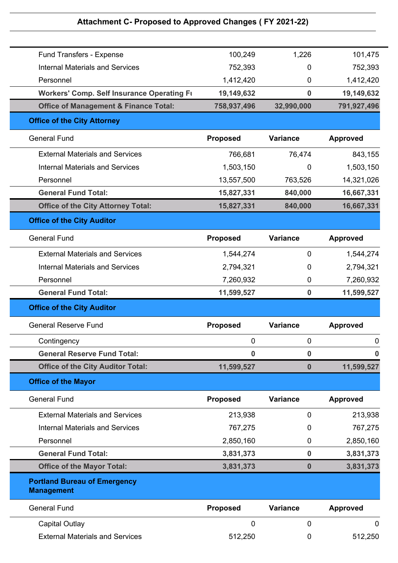| <b>Fund Transfers - Expense</b>                          | 100,249         | 1,226            | 101,475          |
|----------------------------------------------------------|-----------------|------------------|------------------|
| <b>Internal Materials and Services</b>                   | 752,393         | 0                | 752,393          |
| Personnel                                                | 1,412,420       | 0                | 1,412,420        |
| <b>Workers' Comp. Self Insurance Operating Fi</b>        | 19,149,632      | 0                | 19,149,632       |
| <b>Office of Management &amp; Finance Total:</b>         | 758,937,496     | 32,990,000       | 791,927,496      |
| <b>Office of the City Attorney</b>                       |                 |                  |                  |
| <b>General Fund</b>                                      | <b>Proposed</b> | <b>Variance</b>  | <b>Approved</b>  |
| <b>External Materials and Services</b>                   | 766,681         | 76,474           | 843,155          |
| <b>Internal Materials and Services</b>                   | 1,503,150       | 0                | 1,503,150        |
| Personnel                                                | 13,557,500      | 763,526          | 14,321,026       |
| <b>General Fund Total:</b>                               | 15,827,331      | 840,000          | 16,667,331       |
| <b>Office of the City Attorney Total:</b>                | 15,827,331      | 840,000          | 16,667,331       |
| <b>Office of the City Auditor</b>                        |                 |                  |                  |
| <b>General Fund</b>                                      | <b>Proposed</b> | <b>Variance</b>  | <b>Approved</b>  |
| <b>External Materials and Services</b>                   | 1,544,274       | 0                | 1,544,274        |
| <b>Internal Materials and Services</b>                   | 2,794,321       | 0                | 2,794,321        |
| Personnel                                                | 7,260,932       | 0                | 7,260,932        |
| <b>General Fund Total:</b>                               | 11,599,527      | $\mathbf 0$      | 11,599,527       |
| <b>Office of the City Auditor</b>                        |                 |                  |                  |
| <b>General Reserve Fund</b>                              | <b>Proposed</b> | <b>Variance</b>  | <b>Approved</b>  |
| Contingency                                              | 0               | 0                | $\mathbf 0$      |
| <b>General Reserve Fund Total:</b>                       | 0               | 0                | $\boldsymbol{0}$ |
| <b>Office of the City Auditor Total:</b>                 | 11,599,527      | $\boldsymbol{0}$ | 11,599,527       |
| <b>Office of the Mayor</b>                               |                 |                  |                  |
| <b>General Fund</b>                                      | <b>Proposed</b> | <b>Variance</b>  | <b>Approved</b>  |
| <b>External Materials and Services</b>                   | 213,938         | $\mathbf 0$      | 213,938          |
| <b>Internal Materials and Services</b>                   | 767,275         | 0                | 767,275          |
| Personnel                                                | 2,850,160       | 0                | 2,850,160        |
| <b>General Fund Total:</b>                               | 3,831,373       | 0                | 3,831,373        |
| <b>Office of the Mayor Total:</b>                        | 3,831,373       | $\bf{0}$         | 3,831,373        |
| <b>Portland Bureau of Emergency</b><br><b>Management</b> |                 |                  |                  |
| <b>General Fund</b>                                      | <b>Proposed</b> | <b>Variance</b>  | <b>Approved</b>  |
| <b>Capital Outlay</b>                                    | $\mathbf 0$     | $\mathbf 0$      | $\mathbf 0$      |
| <b>External Materials and Services</b>                   | 512,250         | 0                | 512,250          |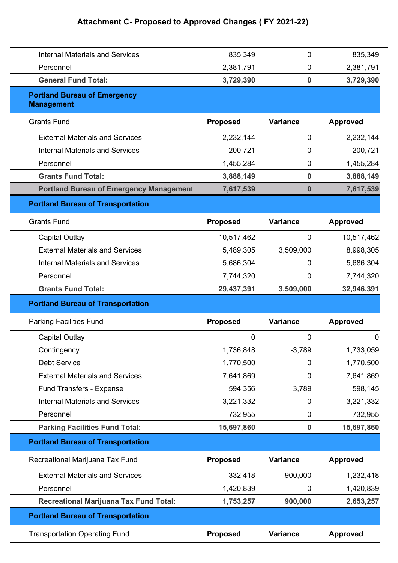| <b>Internal Materials and Services</b>                   | 835,349         | $\mathbf 0$      | 835,349                                                                 |
|----------------------------------------------------------|-----------------|------------------|-------------------------------------------------------------------------|
| Personnel                                                | 2,381,791       | 0                | 2,381,791                                                               |
| <b>General Fund Total:</b>                               | 3,729,390       | $\boldsymbol{0}$ | 3,729,390                                                               |
| <b>Portland Bureau of Emergency</b><br><b>Management</b> |                 |                  |                                                                         |
| <b>Grants Fund</b>                                       | <b>Proposed</b> | <b>Variance</b>  | <b>Approved</b>                                                         |
| <b>External Materials and Services</b>                   | 2,232,144       | $\mathbf 0$      | 2,232,144                                                               |
| <b>Internal Materials and Services</b>                   | 200,721         | 0                | 200,721                                                                 |
| Personnel                                                | 1,455,284       | 0                | 1,455,284                                                               |
| <b>Grants Fund Total:</b>                                | 3,888,149       | $\boldsymbol{0}$ | 3,888,149                                                               |
| <b>Portland Bureau of Emergency Management</b>           | 7,617,539       | $\boldsymbol{0}$ | 7,617,539                                                               |
| <b>Portland Bureau of Transportation</b>                 |                 |                  |                                                                         |
| <b>Grants Fund</b>                                       | <b>Proposed</b> | <b>Variance</b>  | <b>Approved</b>                                                         |
| <b>Capital Outlay</b>                                    | 10,517,462      | $\mathbf 0$      | 10,517,462                                                              |
| <b>External Materials and Services</b>                   | 5,489,305       | 3,509,000        | 8,998,305                                                               |
| <b>Internal Materials and Services</b>                   | 5,686,304       | 0                | 5,686,304                                                               |
| Personnel                                                | 7,744,320       | $\mathbf 0$      | 7,744,320                                                               |
| <b>Grants Fund Total:</b>                                | 29,437,391      | 3,509,000        | 32,946,391                                                              |
|                                                          |                 |                  |                                                                         |
| <b>Portland Bureau of Transportation</b>                 |                 |                  |                                                                         |
| <b>Parking Facilities Fund</b>                           | <b>Proposed</b> | <b>Variance</b>  | <b>Approved</b>                                                         |
| Capital Outlay                                           | 0               | 0                | $\mathbf{0}$                                                            |
| Contingency                                              | 1,736,848       | $-3,789$         |                                                                         |
| <b>Debt Service</b>                                      | 1,770,500       | 0                | 1,770,500                                                               |
| <b>External Materials and Services</b>                   | 7,641,869       | $\mathbf 0$      | 7,641,869                                                               |
| Fund Transfers - Expense                                 | 594,356         | 3,789            |                                                                         |
| <b>Internal Materials and Services</b>                   | 3,221,332       | 0                |                                                                         |
| Personnel                                                | 732,955         | $\mathbf 0$      |                                                                         |
| <b>Parking Facilities Fund Total:</b>                    | 15,697,860      | $\bf{0}$         |                                                                         |
| <b>Portland Bureau of Transportation</b>                 |                 |                  |                                                                         |
| Recreational Marijuana Tax Fund                          | <b>Proposed</b> | <b>Variance</b>  | <b>Approved</b>                                                         |
| <b>External Materials and Services</b>                   | 332,418         | 900,000          |                                                                         |
| Personnel                                                | 1,420,839       | 0                | 1,420,839                                                               |
| <b>Recreational Marijuana Tax Fund Total:</b>            | 1,753,257       | 900,000          | 2,653,257                                                               |
| <b>Portland Bureau of Transportation</b>                 |                 |                  | 1,733,059<br>598,145<br>3,221,332<br>732,955<br>15,697,860<br>1,232,418 |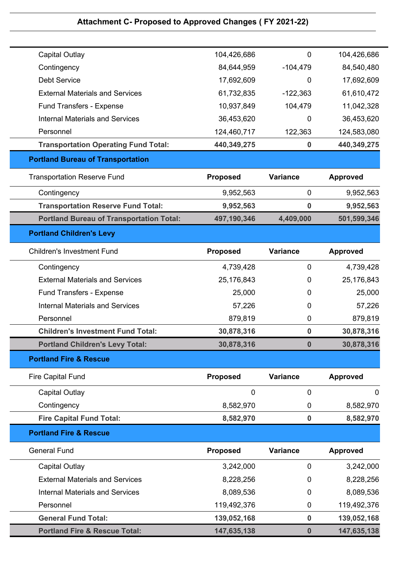| <b>Capital Outlay</b>                           | 104,426,686     | $\mathbf 0$      | 104,426,686     |
|-------------------------------------------------|-----------------|------------------|-----------------|
| Contingency                                     | 84,644,959      | $-104,479$       | 84,540,480      |
| <b>Debt Service</b>                             | 17,692,609      | 0                | 17,692,609      |
| <b>External Materials and Services</b>          | 61,732,835      | $-122,363$       | 61,610,472      |
| Fund Transfers - Expense                        | 10,937,849      | 104,479          | 11,042,328      |
| <b>Internal Materials and Services</b>          | 36,453,620      | 0                | 36,453,620      |
| Personnel                                       | 124,460,717     | 122,363          | 124,583,080     |
| <b>Transportation Operating Fund Total:</b>     | 440,349,275     | $\pmb{0}$        | 440,349,275     |
| <b>Portland Bureau of Transportation</b>        |                 |                  |                 |
| <b>Transportation Reserve Fund</b>              | <b>Proposed</b> | <b>Variance</b>  | <b>Approved</b> |
| Contingency                                     | 9,952,563       | 0                | 9,952,563       |
| <b>Transportation Reserve Fund Total:</b>       | 9,952,563       | $\bf{0}$         | 9,952,563       |
| <b>Portland Bureau of Transportation Total:</b> | 497,190,346     | 4,409,000        | 501,599,346     |
| <b>Portland Children's Levy</b>                 |                 |                  |                 |
| <b>Children's Investment Fund</b>               | <b>Proposed</b> | <b>Variance</b>  | <b>Approved</b> |
| Contingency                                     | 4,739,428       | 0                | 4,739,428       |
| <b>External Materials and Services</b>          | 25,176,843      | 0                | 25,176,843      |
| Fund Transfers - Expense                        | 25,000          | 0                | 25,000          |
| <b>Internal Materials and Services</b>          | 57,226          | 0                | 57,226          |
| Personnel                                       | 879,819         | 0                | 879,819         |
| <b>Children's Investment Fund Total:</b>        | 30,878,316      | $\bf{0}$         | 30,878,316      |
| <b>Portland Children's Levy Total:</b>          | 30,878,316      | $\boldsymbol{0}$ | 30,878,316      |
| <b>Portland Fire &amp; Rescue</b>               |                 |                  |                 |
| <b>Fire Capital Fund</b>                        | <b>Proposed</b> | Variance         | <b>Approved</b> |
| <b>Capital Outlay</b>                           | $\mathbf 0$     | 0                | $\mathbf 0$     |
| Contingency                                     | 8,582,970       | 0                | 8,582,970       |
| <b>Fire Capital Fund Total:</b>                 | 8,582,970       | $\mathbf 0$      | 8,582,970       |
| <b>Portland Fire &amp; Rescue</b>               |                 |                  |                 |
| <b>General Fund</b>                             | Proposed        | <b>Variance</b>  | <b>Approved</b> |
| Capital Outlay                                  | 3,242,000       | 0                | 3,242,000       |
| <b>External Materials and Services</b>          | 8,228,256       | 0                | 8,228,256       |
| <b>Internal Materials and Services</b>          | 8,089,536       | 0                | 8,089,536       |
| Personnel                                       | 119,492,376     | 0                | 119,492,376     |
| <b>General Fund Total:</b>                      | 139,052,168     | $\boldsymbol{0}$ | 139,052,168     |
| <b>Portland Fire &amp; Rescue Total:</b>        | 147,635,138     | $\bf{0}$         | 147,635,138     |

Ī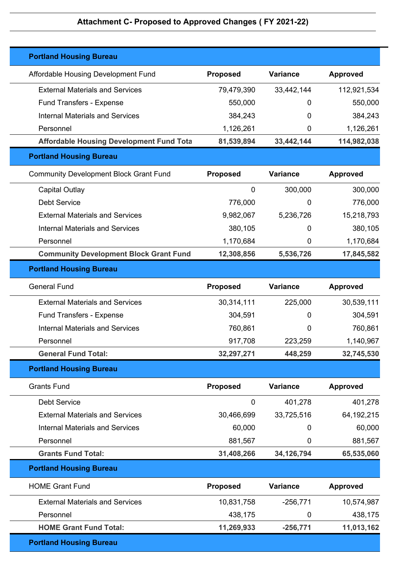| <b>Portland Housing Bureau</b>                  |                 |                 |                 |
|-------------------------------------------------|-----------------|-----------------|-----------------|
| Affordable Housing Development Fund             | <b>Proposed</b> | <b>Variance</b> | <b>Approved</b> |
| <b>External Materials and Services</b>          | 79,479,390      | 33,442,144      | 112,921,534     |
| Fund Transfers - Expense                        | 550,000         | 0               | 550,000         |
| <b>Internal Materials and Services</b>          | 384,243         | 0               | 384,243         |
| Personnel                                       | 1,126,261       | 0               | 1,126,261       |
| <b>Affordable Housing Development Fund Tota</b> | 81,539,894      | 33,442,144      | 114,982,038     |
| <b>Portland Housing Bureau</b>                  |                 |                 |                 |
| <b>Community Development Block Grant Fund</b>   | <b>Proposed</b> | <b>Variance</b> | <b>Approved</b> |
| Capital Outlay                                  | $\mathbf 0$     | 300,000         | 300,000         |
| <b>Debt Service</b>                             | 776,000         | 0               | 776,000         |
| <b>External Materials and Services</b>          | 9,982,067       | 5,236,726       | 15,218,793      |
| <b>Internal Materials and Services</b>          | 380,105         | 0               | 380,105         |
| Personnel                                       | 1,170,684       | 0               | 1,170,684       |
| <b>Community Development Block Grant Fund</b>   | 12,308,856      | 5,536,726       | 17,845,582      |
| <b>Portland Housing Bureau</b>                  |                 |                 |                 |
| <b>General Fund</b>                             | <b>Proposed</b> | <b>Variance</b> | <b>Approved</b> |
| <b>External Materials and Services</b>          | 30,314,111      | 225,000         | 30,539,111      |
| Fund Transfers - Expense                        | 304,591         | 0               | 304,591         |
| <b>Internal Materials and Services</b>          | 760,861         | 0               | 760,861         |
| Personnel                                       | 917,708         | 223,259         | 1,140,967       |
| <b>General Fund Total:</b>                      | 32,297,271      | 448,259         | 32,745,530      |
| <b>Portland Housing Bureau</b>                  |                 |                 |                 |
| <b>Grants Fund</b>                              | <b>Proposed</b> | <b>Variance</b> | <b>Approved</b> |
| <b>Debt Service</b>                             | $\mathbf 0$     | 401,278         | 401,278         |
| <b>External Materials and Services</b>          | 30,466,699      | 33,725,516      | 64, 192, 215    |
| <b>Internal Materials and Services</b>          | 60,000          | 0               | 60,000          |
| Personnel                                       | 881,567         | 0               | 881,567         |
| <b>Grants Fund Total:</b>                       | 31,408,266      | 34,126,794      | 65,535,060      |
| <b>Portland Housing Bureau</b>                  |                 |                 |                 |
| <b>HOME Grant Fund</b>                          | <b>Proposed</b> | <b>Variance</b> | <b>Approved</b> |
| <b>External Materials and Services</b>          | 10,831,758      | $-256,771$      | 10,574,987      |
| Personnel                                       | 438,175         | 0               | 438,175         |
| <b>HOME Grant Fund Total:</b>                   | 11,269,933      | $-256,771$      | 11,013,162      |
| <b>Portland Housing Bureau</b>                  |                 |                 |                 |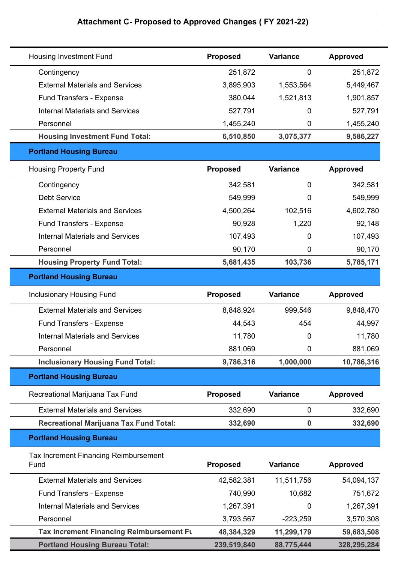| Housing Investment Fund                              | <b>Proposed</b> | <b>Variance</b> | <b>Approved</b> |
|------------------------------------------------------|-----------------|-----------------|-----------------|
| Contingency                                          | 251,872         | $\mathbf 0$     | 251,872         |
| <b>External Materials and Services</b>               | 3,895,903       | 1,553,564       | 5,449,467       |
| Fund Transfers - Expense                             | 380,044         | 1,521,813       | 1,901,857       |
| <b>Internal Materials and Services</b>               | 527,791         | 0               | 527,791         |
| Personnel                                            | 1,455,240       | 0               | 1,455,240       |
| <b>Housing Investment Fund Total:</b>                | 6,510,850       | 3,075,377       | 9,586,227       |
| <b>Portland Housing Bureau</b>                       |                 |                 |                 |
| <b>Housing Property Fund</b>                         | <b>Proposed</b> | <b>Variance</b> | <b>Approved</b> |
| Contingency                                          | 342,581         | 0               | 342,581         |
| <b>Debt Service</b>                                  | 549,999         | 0               | 549,999         |
| <b>External Materials and Services</b>               | 4,500,264       | 102,516         | 4,602,780       |
| Fund Transfers - Expense                             | 90,928          | 1,220           | 92,148          |
| <b>Internal Materials and Services</b>               | 107,493         | 0               | 107,493         |
| Personnel                                            | 90,170          | 0               | 90,170          |
| <b>Housing Property Fund Total:</b>                  | 5,681,435       | 103,736         | 5,785,171       |
| <b>Portland Housing Bureau</b>                       |                 |                 |                 |
| Inclusionary Housing Fund                            | Proposed        | <b>Variance</b> | <b>Approved</b> |
| <b>External Materials and Services</b>               | 8,848,924       | 999,546         | 9,848,470       |
| <b>Fund Transfers - Expense</b>                      | 44,543          | 454             | 44,997          |
| <b>Internal Materials and Services</b>               | 11,780          | 0               | 11,780          |
| Personnel                                            | 881,069         | $\mathbf 0$     | 881,069         |
| <b>Inclusionary Housing Fund Total:</b>              | 9,786,316       | 1,000,000       | 10,786,316      |
| <b>Portland Housing Bureau</b>                       |                 |                 |                 |
| Recreational Marijuana Tax Fund                      | <b>Proposed</b> | <b>Variance</b> | <b>Approved</b> |
| <b>External Materials and Services</b>               | 332,690         | 0               | 332,690         |
| <b>Recreational Marijuana Tax Fund Total:</b>        | 332,690         | $\mathbf 0$     | 332,690         |
| <b>Portland Housing Bureau</b>                       |                 |                 |                 |
| <b>Tax Increment Financing Reimbursement</b><br>Fund | <b>Proposed</b> | <b>Variance</b> | <b>Approved</b> |
| <b>External Materials and Services</b>               | 42,582,381      | 11,511,756      | 54,094,137      |
| Fund Transfers - Expense                             | 740,990         | 10,682          | 751,672         |
| <b>Internal Materials and Services</b>               | 1,267,391       | 0               | 1,267,391       |
| Personnel                                            | 3,793,567       | $-223,259$      | 3,570,308       |
| Tax Increment Financing Reimbursement Ft             | 48,384,329      | 11,299,179      | 59,683,508      |
| <b>Portland Housing Bureau Total:</b>                | 239,519,840     | 88,775,444      | 328,295,284     |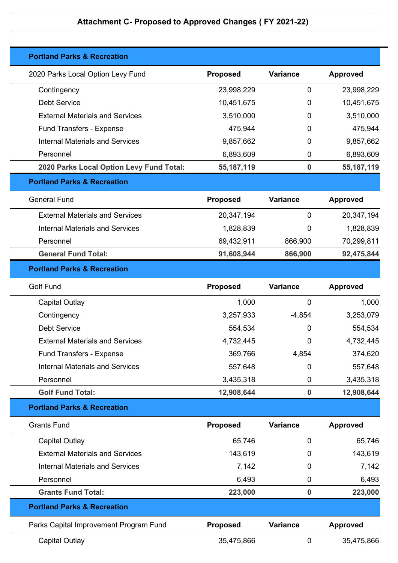| <b>Portland Parks &amp; Recreation</b>   |                 |                  |                 |
|------------------------------------------|-----------------|------------------|-----------------|
| 2020 Parks Local Option Levy Fund        | <b>Proposed</b> | <b>Variance</b>  | <b>Approved</b> |
| Contingency                              | 23,998,229      | 0                | 23,998,229      |
| <b>Debt Service</b>                      | 10,451,675      | 0                | 10,451,675      |
| <b>External Materials and Services</b>   | 3,510,000       | 0                | 3,510,000       |
| Fund Transfers - Expense                 | 475,944         | 0                | 475,944         |
| <b>Internal Materials and Services</b>   | 9,857,662       | 0                | 9,857,662       |
| Personnel                                | 6,893,609       | 0                | 6,893,609       |
| 2020 Parks Local Option Levy Fund Total: | 55, 187, 119    | $\boldsymbol{0}$ | 55, 187, 119    |
| <b>Portland Parks &amp; Recreation</b>   |                 |                  |                 |
| <b>General Fund</b>                      | <b>Proposed</b> | <b>Variance</b>  | <b>Approved</b> |
| <b>External Materials and Services</b>   | 20,347,194      | $\mathbf 0$      | 20,347,194      |
| <b>Internal Materials and Services</b>   | 1,828,839       | 0                | 1,828,839       |
| Personnel                                | 69,432,911      | 866,900          | 70,299,811      |
| <b>General Fund Total:</b>               | 91,608,944      | 866,900          | 92,475,844      |
| <b>Portland Parks &amp; Recreation</b>   |                 |                  |                 |
| <b>Golf Fund</b>                         | <b>Proposed</b> | <b>Variance</b>  | <b>Approved</b> |
| <b>Capital Outlay</b>                    | 1,000           | 0                | 1,000           |
| Contingency                              | 3,257,933       | $-4,854$         | 3,253,079       |
| <b>Debt Service</b>                      | 554,534         | 0                | 554,534         |
| <b>External Materials and Services</b>   | 4,732,445       | 0                | 4,732,445       |
| Fund Transfers - Expense                 | 369,766         | 4,854            | 374,620         |
| <b>Internal Materials and Services</b>   | 557,648         | 0                | 557,648         |
| Personnel                                | 3,435,318       | 0                | 3,435,318       |
| <b>Golf Fund Total:</b>                  | 12,908,644      | $\boldsymbol{0}$ | 12,908,644      |
| <b>Portland Parks &amp; Recreation</b>   |                 |                  |                 |
| <b>Grants Fund</b>                       | <b>Proposed</b> | <b>Variance</b>  | <b>Approved</b> |
| <b>Capital Outlay</b>                    | 65,746          | 0                | 65,746          |
| <b>External Materials and Services</b>   | 143,619         | 0                | 143,619         |
| <b>Internal Materials and Services</b>   | 7,142           | 0                | 7,142           |
| Personnel                                | 6,493           | 0                | 6,493           |
| <b>Grants Fund Total:</b>                | 223,000         | $\boldsymbol{0}$ | 223,000         |
| <b>Portland Parks &amp; Recreation</b>   |                 |                  |                 |
| Parks Capital Improvement Program Fund   | <b>Proposed</b> | <b>Variance</b>  | <b>Approved</b> |
| <b>Capital Outlay</b>                    | 35,475,866      | 0                | 35,475,866      |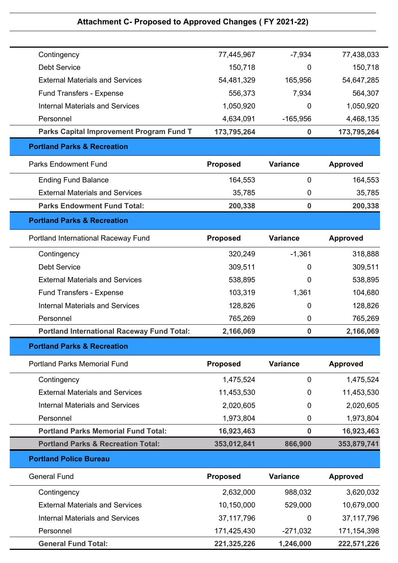| Contingency                                       | 77,445,967      | $-7,934$        | 77,438,033      |
|---------------------------------------------------|-----------------|-----------------|-----------------|
| <b>Debt Service</b>                               | 150,718         | 0               | 150,718         |
| <b>External Materials and Services</b>            | 54,481,329      | 165,956         | 54,647,285      |
| <b>Fund Transfers - Expense</b>                   | 556,373         | 7,934           | 564,307         |
| <b>Internal Materials and Services</b>            | 1,050,920       | 0               | 1,050,920       |
| Personnel                                         | 4,634,091       | $-165,956$      | 4,468,135       |
| <b>Parks Capital Improvement Program Fund T</b>   | 173,795,264     | $\bf{0}$        | 173,795,264     |
| <b>Portland Parks &amp; Recreation</b>            |                 |                 |                 |
| <b>Parks Endowment Fund</b>                       | <b>Proposed</b> | <b>Variance</b> | <b>Approved</b> |
| <b>Ending Fund Balance</b>                        | 164,553         | 0               | 164,553         |
| <b>External Materials and Services</b>            | 35,785          | 0               | 35,785          |
| <b>Parks Endowment Fund Total:</b>                | 200,338         | $\bf{0}$        | 200,338         |
| <b>Portland Parks &amp; Recreation</b>            |                 |                 |                 |
| Portland International Raceway Fund               | <b>Proposed</b> | <b>Variance</b> | <b>Approved</b> |
| Contingency                                       | 320,249         | $-1,361$        | 318,888         |
| <b>Debt Service</b>                               | 309,511         | 0               | 309,511         |
| <b>External Materials and Services</b>            | 538,895         | 0               | 538,895         |
| <b>Fund Transfers - Expense</b>                   | 103,319         | 1,361           | 104,680         |
| <b>Internal Materials and Services</b>            | 128,826         | 0               | 128,826         |
| Personnel                                         | 765,269         | 0               | 765,269         |
| <b>Portland International Raceway Fund Total:</b> | 2,166,069       | 0               | 2,166,069       |
| <b>Portland Parks &amp; Recreation</b>            |                 |                 |                 |
| <b>Portland Parks Memorial Fund</b>               | <b>Proposed</b> | <b>Variance</b> | <b>Approved</b> |
| Contingency                                       | 1,475,524       | 0               | 1,475,524       |
| <b>External Materials and Services</b>            | 11,453,530      | 0               | 11,453,530      |
| <b>Internal Materials and Services</b>            | 2,020,605       | 0               | 2,020,605       |
| Personnel                                         | 1,973,804       | 0               | 1,973,804       |
| <b>Portland Parks Memorial Fund Total:</b>        | 16,923,463      | 0               | 16,923,463      |
| <b>Portland Parks &amp; Recreation Total:</b>     | 353,012,841     | 866,900         | 353,879,741     |
| <b>Portland Police Bureau</b>                     |                 |                 |                 |
| <b>General Fund</b>                               | <b>Proposed</b> | <b>Variance</b> | <b>Approved</b> |
| Contingency                                       | 2,632,000       | 988,032         | 3,620,032       |
| <b>External Materials and Services</b>            | 10,150,000      | 529,000         | 10,679,000      |
| <b>Internal Materials and Services</b>            | 37, 117, 796    | 0               | 37, 117, 796    |
| Personnel                                         | 171,425,430     | $-271,032$      | 171, 154, 398   |
| <b>General Fund Total:</b>                        | 221,325,226     | 1,246,000       | 222,571,226     |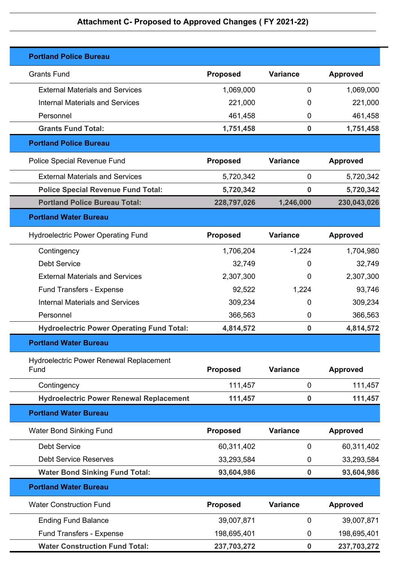| <b>Portland Police Bureau</b>                    |                 |                  |                 |
|--------------------------------------------------|-----------------|------------------|-----------------|
| <b>Grants Fund</b>                               | <b>Proposed</b> | <b>Variance</b>  | <b>Approved</b> |
| <b>External Materials and Services</b>           | 1,069,000       | 0                | 1,069,000       |
| <b>Internal Materials and Services</b>           | 221,000         | 0                | 221,000         |
| Personnel                                        | 461,458         | 0                | 461,458         |
| <b>Grants Fund Total:</b>                        | 1,751,458       | $\bf{0}$         | 1,751,458       |
| <b>Portland Police Bureau</b>                    |                 |                  |                 |
| Police Special Revenue Fund                      | <b>Proposed</b> | <b>Variance</b>  | <b>Approved</b> |
| <b>External Materials and Services</b>           | 5,720,342       | $\mathbf 0$      | 5,720,342       |
| <b>Police Special Revenue Fund Total:</b>        | 5,720,342       | $\bf{0}$         | 5,720,342       |
| <b>Portland Police Bureau Total:</b>             | 228,797,026     | 1,246,000        | 230,043,026     |
| <b>Portland Water Bureau</b>                     |                 |                  |                 |
| <b>Hydroelectric Power Operating Fund</b>        | <b>Proposed</b> | <b>Variance</b>  | <b>Approved</b> |
| Contingency                                      | 1,706,204       | $-1,224$         | 1,704,980       |
| <b>Debt Service</b>                              | 32,749          | 0                | 32,749          |
| <b>External Materials and Services</b>           | 2,307,300       | 0                | 2,307,300       |
| Fund Transfers - Expense                         | 92,522          | 1,224            | 93,746          |
| <b>Internal Materials and Services</b>           | 309,234         | 0                | 309,234         |
| Personnel                                        | 366,563         | 0                | 366,563         |
| <b>Hydroelectric Power Operating Fund Total:</b> | 4,814,572       | $\bf{0}$         | 4,814,572       |
| <b>Portland Water Bureau</b>                     |                 |                  |                 |
| Hydroelectric Power Renewal Replacement<br>Fund  | <b>Proposed</b> | <b>Variance</b>  | <b>Approved</b> |
| Contingency                                      | 111,457         | $\mathbf 0$      | 111,457         |
| <b>Hydroelectric Power Renewal Replacement</b>   | 111,457         | $\bf{0}$         | 111,457         |
| <b>Portland Water Bureau</b>                     |                 |                  |                 |
| Water Bond Sinking Fund                          | <b>Proposed</b> | <b>Variance</b>  | Approved        |
| <b>Debt Service</b>                              | 60,311,402      | $\mathbf 0$      | 60,311,402      |
| <b>Debt Service Reserves</b>                     | 33,293,584      | 0                | 33,293,584      |
| <b>Water Bond Sinking Fund Total:</b>            | 93,604,986      | $\boldsymbol{0}$ | 93,604,986      |
| <b>Portland Water Bureau</b>                     |                 |                  |                 |
| <b>Water Construction Fund</b>                   | <b>Proposed</b> | <b>Variance</b>  | <b>Approved</b> |
| <b>Ending Fund Balance</b>                       | 39,007,871      | $\mathbf 0$      | 39,007,871      |
| Fund Transfers - Expense                         | 198,695,401     | 0                | 198,695,401     |
| <b>Water Construction Fund Total:</b>            | 237,703,272     | $\bf{0}$         | 237,703,272     |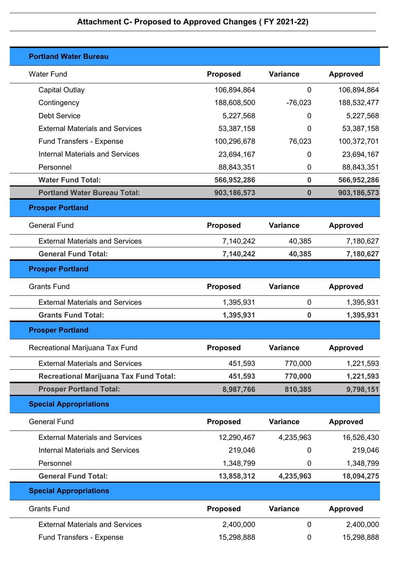| <b>Portland Water Bureau</b>                  |                 |                  |                 |
|-----------------------------------------------|-----------------|------------------|-----------------|
| <b>Water Fund</b>                             | <b>Proposed</b> | <b>Variance</b>  | <b>Approved</b> |
| Capital Outlay                                | 106,894,864     | 0                | 106,894,864     |
| Contingency                                   | 188,608,500     | $-76,023$        | 188,532,477     |
| <b>Debt Service</b>                           | 5,227,568       | 0                | 5,227,568       |
| <b>External Materials and Services</b>        | 53,387,158      | $\mathbf 0$      | 53,387,158      |
| <b>Fund Transfers - Expense</b>               | 100,296,678     | 76,023           | 100,372,701     |
| <b>Internal Materials and Services</b>        | 23,694,167      | $\Omega$         | 23,694,167      |
| Personnel                                     | 88,843,351      | 0                | 88,843,351      |
| <b>Water Fund Total:</b>                      | 566,952,286     | $\boldsymbol{0}$ | 566,952,286     |
| <b>Portland Water Bureau Total:</b>           | 903,186,573     | $\bf{0}$         | 903,186,573     |
| <b>Prosper Portland</b>                       |                 |                  |                 |
| <b>General Fund</b>                           | <b>Proposed</b> | <b>Variance</b>  | <b>Approved</b> |
| <b>External Materials and Services</b>        | 7,140,242       | 40,385           | 7,180,627       |
| <b>General Fund Total:</b>                    | 7,140,242       | 40,385           | 7,180,627       |
| <b>Prosper Portland</b>                       |                 |                  |                 |
| <b>Grants Fund</b>                            | <b>Proposed</b> | <b>Variance</b>  | <b>Approved</b> |
| <b>External Materials and Services</b>        | 1,395,931       | 0                | 1,395,931       |
| <b>Grants Fund Total:</b>                     | 1,395,931       | $\bf{0}$         | 1,395,931       |
| <b>Prosper Portland</b>                       |                 |                  |                 |
| Recreational Marijuana Tax Fund               | <b>Proposed</b> | Variance         | <b>Approved</b> |
| <b>External Materials and Services</b>        | 451,593         | 770,000          | 1,221,593       |
| <b>Recreational Marijuana Tax Fund Total:</b> | 451,593         | 770,000          | 1,221,593       |
| <b>Prosper Portland Total:</b>                | 8,987,766       | 810,385          | 9,798,151       |
| <b>Special Appropriations</b>                 |                 |                  |                 |
| <b>General Fund</b>                           | <b>Proposed</b> | <b>Variance</b>  | <b>Approved</b> |
| <b>External Materials and Services</b>        | 12,290,467      | 4,235,963        | 16,526,430      |
| <b>Internal Materials and Services</b>        | 219,046         | 0                | 219,046         |
| Personnel                                     | 1,348,799       | 0                | 1,348,799       |
| <b>General Fund Total:</b>                    | 13,858,312      | 4,235,963        | 18,094,275      |
| <b>Special Appropriations</b>                 |                 |                  |                 |
| <b>Grants Fund</b>                            | <b>Proposed</b> | <b>Variance</b>  | <b>Approved</b> |
| <b>External Materials and Services</b>        | 2,400,000       | 0                | 2,400,000       |
| Fund Transfers - Expense                      | 15,298,888      | 0                | 15,298,888      |